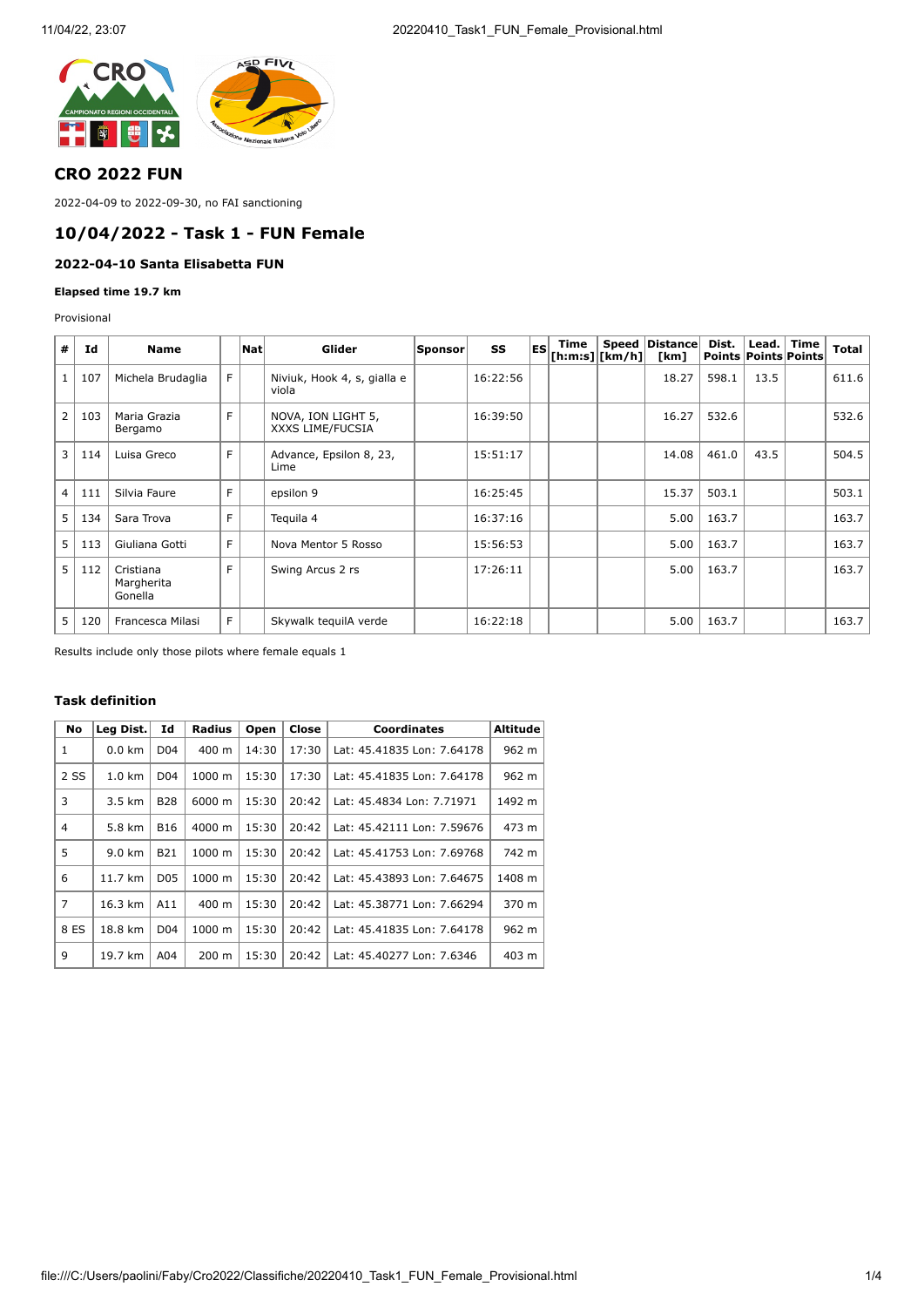

## **CRO 2022 FUN**

2022-04-09 to 2022-09-30, no FAI sanctioning

### **10/04/2022 - Task 1 - FUN Female**

### **2022-04-10 Santa Elisabetta FUN**

**Elapsed time 19.7 km**

Provisional

| #              | Id  | <b>Name</b>                        |    | Nat | Glider                                 | Sponsor | SS       | ES | Time<br>$\lfloor$ [h:m:s] $\lfloor$ [km/h] $\rfloor$ | Speed   Distance  <br>[km] | Dist.<br>Points Points Points | Lead. $ $ Time | <b>Total</b> |
|----------------|-----|------------------------------------|----|-----|----------------------------------------|---------|----------|----|------------------------------------------------------|----------------------------|-------------------------------|----------------|--------------|
|                | 107 | Michela Brudaglia                  | F. |     | Niviuk, Hook 4, s, gialla e<br>viola   |         | 16:22:56 |    |                                                      | 18.27                      | 598.1                         | 13.5           | 611.6        |
| $\overline{2}$ | 103 | Maria Grazia<br>Bergamo            | F  |     | NOVA, ION LIGHT 5,<br>XXXS LIME/FUCSIA |         | 16:39:50 |    |                                                      | 16.27                      | 532.6                         |                | 532.6        |
| $\overline{3}$ | 114 | Luisa Greco                        | F  |     | Advance, Epsilon 8, 23,<br>Lime        |         | 15:51:17 |    |                                                      | 14.08                      | 461.0                         | 43.5           | 504.5        |
| 4              | 111 | Silvia Faure                       | F  |     | epsilon 9                              |         | 16:25:45 |    |                                                      | 15.37                      | 503.1                         |                | 503.1        |
| 5 <sup>1</sup> | 134 | Sara Trova                         | F  |     | Teguila 4                              |         | 16:37:16 |    |                                                      | 5.00                       | 163.7                         |                | 163.7        |
| 5 <sup>1</sup> | 113 | Giuliana Gotti                     | F  |     | Nova Mentor 5 Rosso                    |         | 15:56:53 |    |                                                      | 5.00                       | 163.7                         |                | 163.7        |
| 5 <sup>1</sup> | 112 | Cristiana<br>Margherita<br>Gonella | F  |     | Swing Arcus 2 rs                       |         | 17:26:11 |    |                                                      | 5.00                       | 163.7                         |                | 163.7        |
| 5 <sup>1</sup> | 120 | Francesca Milasi                   | F. |     | Skywalk tequilA verde                  |         | 16:22:18 |    |                                                      | 5.00                       | 163.7                         |                | 163.7        |

Results include only those pilots where female equals 1

#### **Task definition**

| No             | Leg Dist.        | Id              | <b>Radius</b> | Open  | Close | <b>Coordinates</b>         | <b>Altitude</b> |
|----------------|------------------|-----------------|---------------|-------|-------|----------------------------|-----------------|
| 1              | $0.0$ km         | D <sub>04</sub> | 400 m         | 14:30 | 17:30 | Lat: 45.41835 Lon: 7.64178 | 962 m           |
| 2 SS           | $1.0 \text{ km}$ | D <sub>04</sub> | 1000 m        | 15:30 | 17:30 | Lat: 45.41835 Lon: 7.64178 | 962 m           |
| 3              | 3.5 km           | <b>B28</b>      | 6000 m        | 15:30 | 20:42 | Lat: 45.4834 Lon: 7.71971  | 1492 m          |
| 4              | 5.8 km           | <b>B16</b>      | 4000 m        | 15:30 | 20:42 | Lat: 45.42111 Lon: 7.59676 | 473 m           |
| 5              | 9.0 km           | <b>B21</b>      | 1000 m        | 15:30 | 20:42 | Lat: 45.41753 Lon: 7.69768 | 742 m           |
| 6              | 11.7 km          | D <sub>05</sub> | 1000 m        | 15:30 | 20:42 | Lat: 45.43893 Lon: 7.64675 | 1408 m          |
| $\overline{7}$ | 16.3 km          | A11             | 400 m         | 15:30 | 20:42 | Lat: 45.38771 Lon: 7.66294 | 370 m           |
| 8 ES           | 18.8 km          | D <sub>04</sub> | 1000 m        | 15:30 | 20:42 | Lat: 45.41835 Lon: 7.64178 | 962 m           |
| 9              | 19.7 km          | A04             | 200 m         | 15:30 | 20:42 | Lat: 45.40277 Lon: 7.6346  | 403 m           |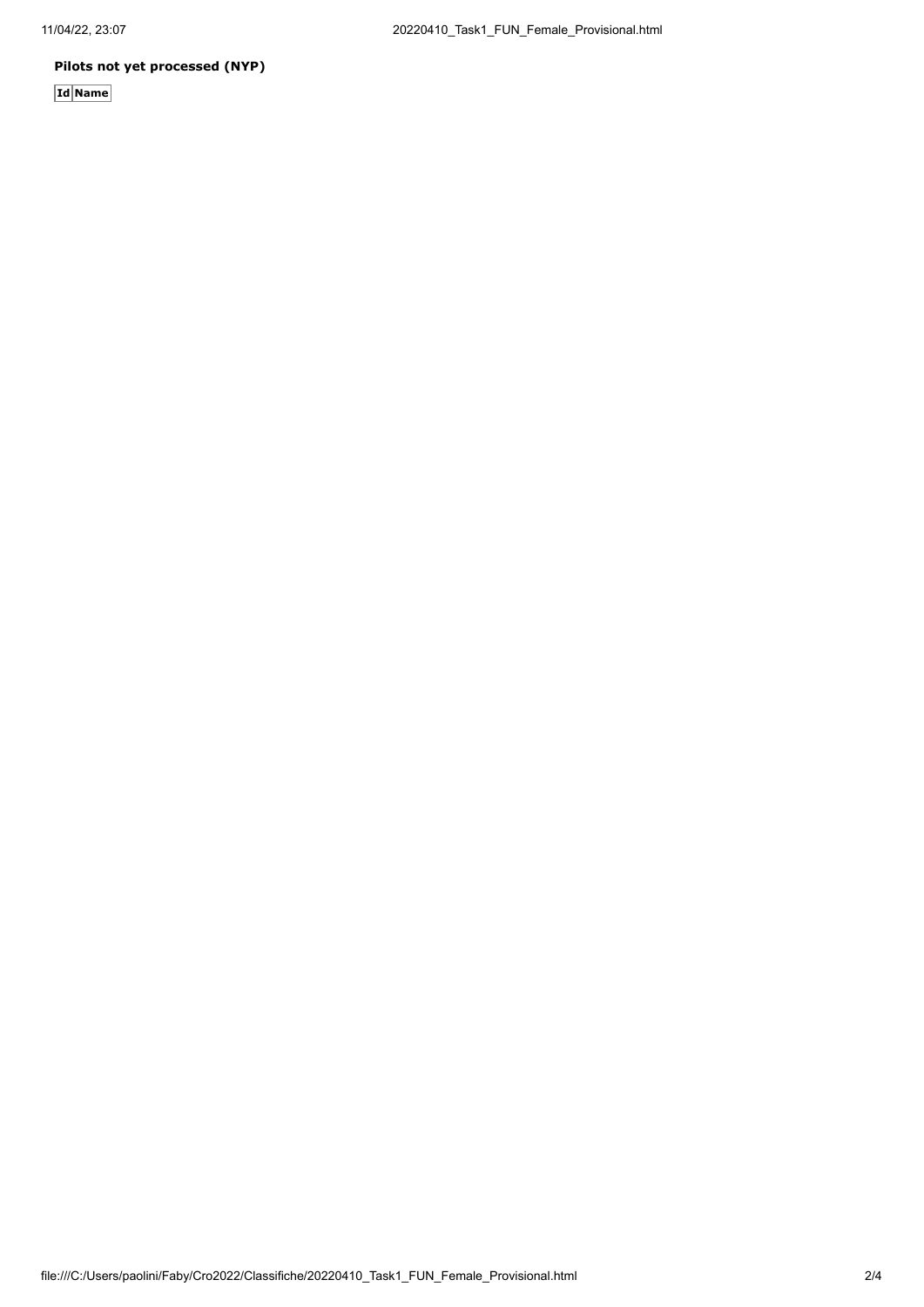### **Pilots not yet processed (NYP)**

**Id Name**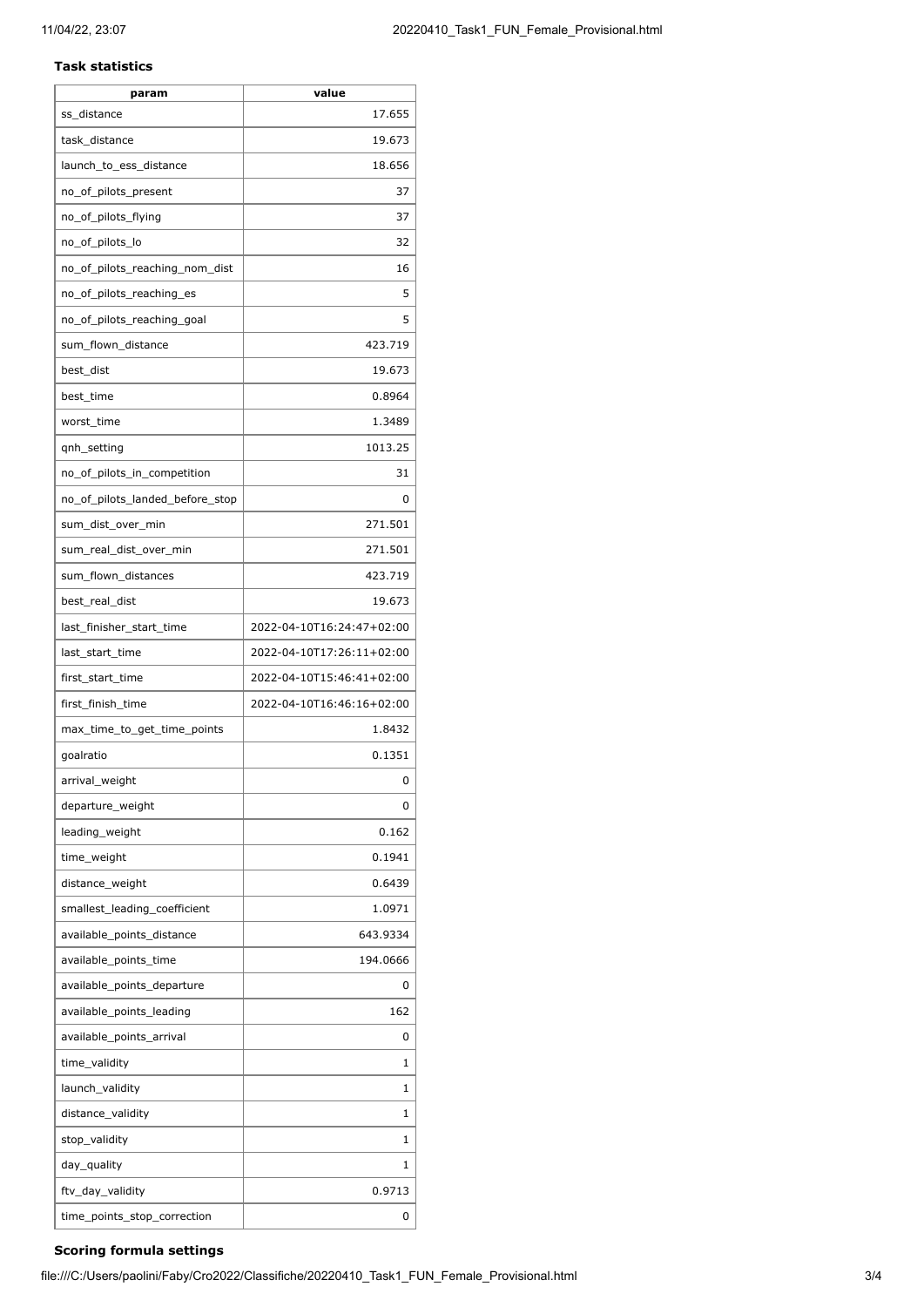### **Task statistics**

| param                           | value                     |
|---------------------------------|---------------------------|
| ss_distance                     | 17.655                    |
| task_distance                   | 19.673                    |
| launch_to_ess_distance          | 18.656                    |
| no_of_pilots_present            | 37                        |
| no_of_pilots_flying             | 37                        |
| no_of_pilots_lo                 | 32                        |
| no_of_pilots_reaching_nom_dist  | 16                        |
| no_of_pilots_reaching_es        | 5                         |
| no_of_pilots_reaching_goal      | 5                         |
| sum_flown_distance              | 423.719                   |
| best_dist                       | 19.673                    |
| best_time                       | 0.8964                    |
| worst_time                      | 1.3489                    |
| qnh_setting                     | 1013.25                   |
| no_of_pilots_in_competition     | 31                        |
| no_of_pilots_landed_before_stop | 0                         |
| sum_dist_over_min               | 271.501                   |
| sum_real_dist_over_min          | 271.501                   |
| sum_flown_distances             | 423.719                   |
| best_real_dist                  | 19.673                    |
| last_finisher_start_time        | 2022-04-10T16:24:47+02:00 |
| last_start_time                 | 2022-04-10T17:26:11+02:00 |
| first_start_time                | 2022-04-10T15:46:41+02:00 |
| first finish time               | 2022-04-10T16:46:16+02:00 |
| max_time_to_get_time_points     | 1.8432                    |
| goalratio                       | 0.1351                    |
| arrival_weight                  | 0                         |
| departure_weight                | 0                         |
| leading_weight                  | 0.162                     |
| time_weight                     | 0.1941                    |
| distance_weight                 | 0.6439                    |
| smallest_leading_coefficient    | 1.0971                    |
| available_points_distance       | 643.9334                  |
| available_points_time           | 194.0666                  |
| available_points_departure      | 0                         |
| available_points_leading        | 162                       |
| available_points_arrival        | 0                         |
| time_validity                   | 1                         |
| launch_validity                 | 1                         |
| distance_validity               | 1                         |
| stop_validity                   | 1                         |
| day_quality                     | 1                         |
| ftv_day_validity                | 0.9713                    |
| time_points_stop_correction     | 0                         |
|                                 |                           |

# **Scoring formula settings**